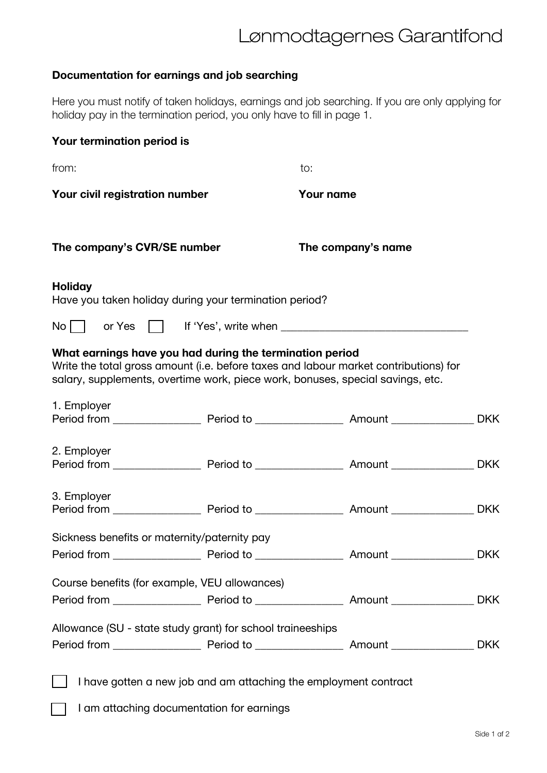## Lønmodtagernes Garantifond

## **Documentation for earnings and job searching**

Here you must notify of taken holidays, earnings and job searching. If you are only applying for holiday pay in the termination period, you only have to fill in page 1.

| Your termination period is                                                                                                                 |  |                                                                                      |            |
|--------------------------------------------------------------------------------------------------------------------------------------------|--|--------------------------------------------------------------------------------------|------------|
| from:                                                                                                                                      |  | to:                                                                                  |            |
| Your civil registration number                                                                                                             |  | <b>Your name</b>                                                                     |            |
| The company's CVR/SE number                                                                                                                |  | The company's name                                                                   |            |
| <b>Holiday</b><br>Have you taken holiday during your termination period?                                                                   |  |                                                                                      |            |
| $No$                                                                                                                                       |  |                                                                                      |            |
| What earnings have you had during the termination period<br>salary, supplements, overtime work, piece work, bonuses, special savings, etc. |  | Write the total gross amount (i.e. before taxes and labour market contributions) for |            |
| 1. Employer                                                                                                                                |  |                                                                                      |            |
| 2. Employer                                                                                                                                |  |                                                                                      | <b>DKK</b> |
| 3. Employer                                                                                                                                |  |                                                                                      |            |
| Sickness benefits or maternity/paternity pay                                                                                               |  |                                                                                      |            |
|                                                                                                                                            |  |                                                                                      |            |
| Course benefits (for example, VEU allowances)                                                                                              |  |                                                                                      |            |
|                                                                                                                                            |  |                                                                                      |            |
| Allowance (SU - state study grant) for school traineeships                                                                                 |  |                                                                                      |            |
|                                                                                                                                            |  |                                                                                      |            |
| I have gotten a new job and am attaching the employment contract<br>I am attaching documentation for earnings                              |  |                                                                                      |            |